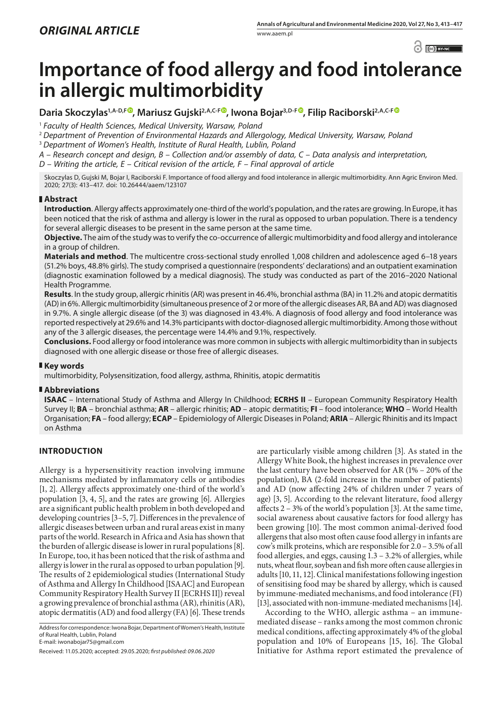

# **Importance of food allergy and food intolerance in allergic multimorbidity**

Daria Skoczylas<sup>1[,](https://orcid.org/0000-0002-0862-194X)A-D,[F](https://orcid.org/0000-0002-3171-225X)®, Mariusz Gujski<sup>2,A,C-F®</sup>, Iwona Bojar<sup>3,D-F®</sup>, Filip Raciborski<sup>2,A,C-F®</sup></sup>

<sup>1</sup> *Faculty of Health Sciences, Medical University, Warsaw, Poland*

<sup>2</sup> *Department of Prevention of Environmental Hazards and Allergology, Medical University, Warsaw, Poland*

<sup>3</sup> *Department of Women's Health, Institute of Rural Health, Lublin, Poland*

*A – Research concept and design, B – Collection and/or assembly of data, C – Data analysis and interpretation, D – Writing the article, E – Critical revision of the article, F – Final approval of article*

Skoczylas D, Gujski M, Bojar I, Raciborski F. Importance of food allergy and food intolerance in allergic multimorbidity. Ann Agric Environ Med. 2020; 27(3): 413–417. doi: 10.26444/aaem/123107

# **Abstract**

**Introduction**. Allergy affects approximately one-third of the world's population, and the rates are growing. In Europe, it has been noticed that the risk of asthma and allergy is lower in the rural as opposed to urban population. There is a tendency for several allergic diseases to be present in the same person at the same time.

**Objective.** The aim of the study was to verify the co-occurrence of allergic multimorbidity and food allergy and intolerance in a group of children.

**Materials and method**. The multicentre cross-sectional study enrolled 1,008 children and adolescence aged 6–18 years (51.2% boys, 48.8% girls). The study comprised a questionnaire (respondents' declarations) and an outpatient examination (diagnostic examination followed by a medical diagnosis). The study was conducted as part of the 2016–2020 National Health Programme.

**Results**. In the study group, allergic rhinitis (AR) was present in 46.4%, bronchial asthma (BA) in 11.2% and atopic dermatitis (AD) in 6%. Allergic multimorbidity (simultaneous presence of 2 or more of the allergic diseases AR, BA and AD) was diagnosed in 9.7%. A single allergic disease (of the 3) was diagnosed in 43.4%. A diagnosis of food allergy and food intolerance was reported respectively at 29.6% and 14.3% participants with doctor-diagnosed allergic multimorbidity. Among those without any of the 3 allergic diseases, the percentage were 14.4% and 9.1%, respectively.

**Conclusions.** Food allergy or food intolerance was more common in subjects with allergic multimorbidity than in subjects diagnosed with one allergic disease or those free of allergic diseases.

# **Key words**

multimorbidity, Polysensitization, food allergy, asthma, Rhinitis, atopic dermatitis

# **Abbreviations**

**ISAAC** – International Study of Asthma and Allergy In Childhood; **ECRHS II** – European Community Respiratory Health Survey II; **BA** – bronchial asthma; **AR** – allergic rhinitis; **AD** – atopic dermatitis; **FI** – food intolerance; **WHO** – World Health Organisation; **FA** – food allergy; **ECAP** – Epidemiology of Allergic Diseases in Poland; **ARIA** – Allergic Rhinitis and its Impact on Asthma

# **INTRODUCTION**

Allergy is a hypersensitivity reaction involving immune mechanisms mediated by inflammatory cells or antibodies [1, 2]. Allergy affects approximately one-third of the world's population [3, 4, 5], and the rates are growing [6]. Allergies are a significant public health problem in both developed and developing countries [3–5, 7]. Differences in the prevalence of allergic diseases between urban and rural areas exist in many parts of the world. Research in Africa and Asia has shown that the burden of allergic disease is lower in rural populations [8]. In Europe, too, it has been noticed that the risk of asthma and allergy is lower in the rural as opposed to urban population [9]. The results of 2 epidemiological studies (International Study of Asthma and Allergy In Childhood [ISAAC] and European Community Respiratory Health Survey II [ECRHS II]) reveal a growing prevalence of bronchial asthma (AR), rhinitis (AR), atopic dermatitis (AD) and food allergy (FA) [6]. These trends

Address for correspondence: Iwona Bojar, Department of Women's Health, Institute of Rural Health, Lublin, Poland E-mail: iwonabojar75@gmail.com

Received: 11.05.2020; accepted: 29.05.2020; *first published: 09.06.2020*

are particularly visible among children [3]. As stated in the Allergy White Book, the highest increases in prevalence over the last century have been observed for AR (1% – 20% of the population), BA (2-fold increase in the number of patients) and AD (now affecting 24% of children under 7 years of age) [3, 5]. According to the relevant literature, food allergy affects 2 – 3% of the world's population [3]. At the same time, social awareness about causative factors for food allergy has been growing [10]. The most common animal-derived food allergens that also most often cause food allergy in infants are cow's milk proteins, which are responsible for 2.0 – 3.5% of all food allergies, and eggs, causing 1.3 – 3.2% of allergies, while nuts, wheat flour, soybean and fish more often cause allergies in adults [10, 11, 12]. Clinical manifestations following ingestion of sensitising food may be shared by allergy, which is caused by immune-mediated mechanisms, and food intolerance (FI) [13], associated with non-immune-mediated mechanisms [14].

According to the WHO, allergic asthma – an immunemediated disease – ranks among the most common chronic medical conditions, affecting approximately 4% of the global population and 10% of Europeans [15, 16]. The Global Initiative for Asthma report estimated the prevalence of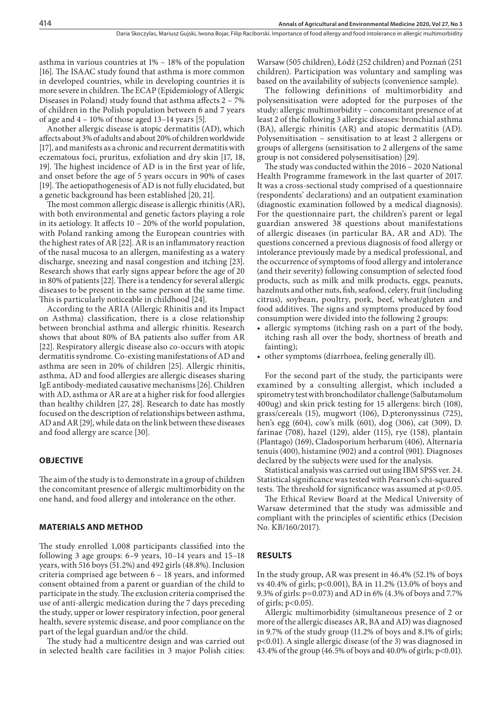asthma in various countries at 1% – 18% of the population [16]. The ISAAC study found that asthma is more common in developed countries, while in developing countries it is more severe in children. The ECAP (Epidemiology of Allergic Diseases in Poland) study found that asthma affects 2 – 7% of children in the Polish population between 6 and 7 years of age and 4 – 10% of those aged 13–14 years [5].

Another allergic disease is atopic dermatitis (AD), which affects about 3% of adults and about 20% of children worldwide [17], and manifests as a chronic and recurrent dermatitis with eczematous foci, pruritus, exfoliation and dry skin [17, 18, 19]. The highest incidence of AD is in the first year of life, and onset before the age of 5 years occurs in 90% of cases [19]. The aetiopathogenesis of AD is not fully elucidated, but a genetic background has been established [20, 21].

The most common allergic disease is allergic rhinitis (AR), with both environmental and genetic factors playing a role in its aetiology. It affects 10 – 20% of the world population, with Poland ranking among the European countries with the highest rates of AR [22]. AR is an inflammatory reaction of the nasal mucosa to an allergen, manifesting as a watery discharge, sneezing and nasal congestion and itching [23]. Research shows that early signs appear before the age of 20 in 80% of patients [22]. There is a tendency for several allergic diseases to be present in the same person at the same time. This is particularly noticeable in childhood [24].

According to the ARIA (Allergic Rhinitis and its Impact on Asthma) classification, there is a close relationship between bronchial asthma and allergic rhinitis. Research shows that about 80% of BA patients also suffer from AR [22]. Respiratory allergic disease also co-occurs with atopic dermatitis syndrome. Co-existing manifestations of AD and asthma are seen in 20% of children [25]. Allergic rhinitis, asthma, AD and food allergies are allergic diseases sharing IgE antibody-mediated causative mechanisms [26]. Children with AD, asthma or AR are at a higher risk for food allergies than healthy children [27, 28]. Research to date has mostly focused on the description of relationships between asthma, AD and AR [29], while data on the link between these diseases and food allergy are scarce [30].

# **OBJECTIVE**

The aim of the study is to demonstrate in a group of children the concomitant presence of allergic multimorbidity on the one hand, and food allergy and intolerance on the other.

#### **MATERIALS AND METHOD**

The study enrolled 1,008 participants classified into the following 3 age groups: 6–9 years, 10–14 years and 15–18 years, with 516 boys (51.2%) and 492 girls (48.8%). Inclusion criteria comprised age between 6 – 18 years, and informed consent obtained from a parent or guardian of the child to participate in the study. The exclusion criteria comprised the use of anti-allergic medication during the 7 days preceding the study, upper or lower respiratory infection, poor general health, severe systemic disease, and poor compliance on the part of the legal guardian and/or the child.

The study had a multicentre design and was carried out in selected health care facilities in 3 major Polish cities:

Warsaw (505 children), Łódź (252 children) and Poznań (251 children). Participation was voluntary and sampling was based on the availability of subjects (convenience sample).

The following definitions of multimorbidity and polysensitisation were adopted for the purposes of the study: allergic multimorbidity – concomitant presence of at least 2 of the following 3 allergic diseases: bronchial asthma (BA), allergic rhinitis (AR) and atopic dermatitis (AD). Polysensitisation – sensitisation to at least 2 allergens or groups of allergens (sensitisation to 2 allergens of the same group is not considered polysensitisation) [29].

The study was conducted within the 2016 – 2020 National Health Programme framework in the last quarter of 2017. It was a cross-sectional study comprised of a questionnaire (respondents' declarations) and an outpatient examination (diagnostic examination followed by a medical diagnosis). For the questionnaire part, the children's parent or legal guardian answered 38 questions about manifestations of allergic diseases (in particular BA, AR and AD). The questions concerned a previous diagnosis of food allergy or intolerance previously made by a medical professional, and the occurrence of symptoms of food allergy and intolerance (and their severity) following consumption of selected food products, such as milk and milk products, eggs, peanuts, hazelnuts and other nuts, fish, seafood, celery, fruit (including citrus), soybean, poultry, pork, beef, wheat/gluten and food additives. The signs and symptoms produced by food consumption were divided into the following 2 groups:

- allergic symptoms (itching rash on a part of the body, itching rash all over the body, shortness of breath and fainting);
- • other symptoms (diarrhoea, feeling generally ill).

For the second part of the study, the participants were examined by a consulting allergist, which included a spirometry test with bronchodilator challenge (Salbutamolum 400ug) and skin prick testing for 15 allergens: birch (108), grass/cereals (15), mugwort (106), D.pteronyssinus (725), hen's egg (604), cow's milk (601), dog (306), cat (309), D. farinae (708), hazel (129), alder (115), rye (158), plantain (Plantago) (169), Cladosporium herbarum (406), Alternaria tenuis (400), histamine (902) and a control (901). Diagnoses declared by the subjects were used for the analysis.

Statistical analysis was carried out using IBM SPSS ver. 24. Statistical significance was tested with Pearson's chi-squared tests. The threshold for significance was assumed at p<0.05.

The Ethical Review Board at the Medical University of Warsaw determined that the study was admissible and compliant with the principles of scientific ethics (Decision No. KB/160/2017).

### **RESULTS**

In the study group, AR was present in 46.4% (52.1% of boys vs 40.4% of girls; p<0.001), BA in 11.2% (13.0% of boys and 9.3% of girls: p=0.073) and AD in 6% (4.3% of boys and 7.7% of girls;  $p<0.05$ ).

Allergic multimorbidity (simultaneous presence of 2 or more of the allergic diseases AR, BA and AD) was diagnosed in 9.7% of the study group (11.2% of boys and 8.1% of girls; p<0.01). A single allergic disease (of the 3) was diagnosed in 43.4% of the group (46.5% of boys and 40.0% of girls; p<0.01).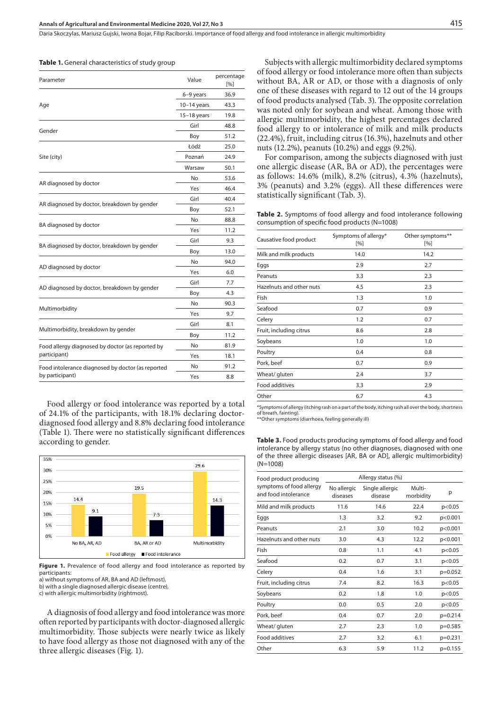Daria Skoczylas, Mariusz Gujski, Iwona Bojar, Filip Raciborski . Importance of food allergy and food intolerance in allergic multimorbidity

|  |  |  | <b>Table 1.</b> General characteristics of study group |  |  |  |  |  |  |  |  |  |  |
|--|--|--|--------------------------------------------------------|--|--|--|--|--|--|--|--|--|--|
|--|--|--|--------------------------------------------------------|--|--|--|--|--|--|--|--|--|--|

| Parameter                                         | Value         | percentage<br>[%] |
|---------------------------------------------------|---------------|-------------------|
|                                                   | 6-9 years     | 36.9              |
| Age                                               | $10-14$ years | 43.3              |
|                                                   | $15-18$ years | 19.8              |
| Gender                                            | Girl          | 48.8              |
|                                                   | Boy           | 51.2              |
|                                                   | Łódź          | 25.0              |
| Site (city)                                       | Poznań        | 24.9              |
|                                                   | Warsaw        | 50.1              |
|                                                   | No            | 53.6              |
| AR diagnosed by doctor                            | Yes           | 46.4              |
|                                                   | Girl          | 40.4              |
| AR diagnosed by doctor, breakdown by gender       | Boy           | 52.1              |
|                                                   | No            | 88.8              |
| BA diagnosed by doctor                            | Yes           | 11.2              |
| BA diagnosed by doctor, breakdown by gender       | Girl          | 9.3               |
|                                                   | Boy           | 13.0              |
| AD diagnosed by doctor                            | No            | 94.0              |
|                                                   | Yes           | 6.0               |
|                                                   | Girl          | 7.7               |
| AD diagnosed by doctor, breakdown by gender       | Boy           | 4.3               |
|                                                   | No            | 90.3              |
| Multimorbidity                                    | Yes           | 9.7               |
|                                                   | Girl          | 8.1               |
| Multimorbidity, breakdown by gender               | Boy           | 11.2              |
| Food allergy diagnosed by doctor (as reported by  | No            | 81.9              |
| participant)                                      | Yes           | 18.1              |
| Food intolerance diagnosed by doctor (as reported | No            | 91.2              |
| by participant)                                   | Yes           | 8.8               |
|                                                   |               |                   |

Food allergy or food intolerance was reported by a total of 24.1% of the participants, with 18.1% declaring doctordiagnosed food allergy and 8.8% declaring food intolerance (Table 1). There were no statistically significant differences according to gender.



**Figure 1.** Prevalence of food allergy and food intolerance as reported by participants:

a) without symptoms of AR, BA and AD (leftmost),

b) with a single diagnosed allergic disease (centre),

c) with allergic multimorbidity (rightmost).

A diagnosis of food allergy and food intolerance was more often reported by participants with doctor-diagnosed allergic multimorbidity. Those subjects were nearly twice as likely to have food allergy as those not diagnosed with any of the three allergic diseases (Fig. 1).

Subjects with allergic multimorbidity declared symptoms of food allergy or food intolerance more often than subjects without BA, AR or AD, or those with a diagnosis of only one of these diseases with regard to 12 out of the 14 groups of food products analysed (Tab. 3). The opposite correlation was noted only for soybean and wheat. Among those with allergic multimorbidity, the highest percentages declared food allergy to or intolerance of milk and milk products (22.4%), fruit, including citrus (16.3%), hazelnuts and other nuts (12.2%), peanuts (10.2%) and eggs (9.2%).

For comparison, among the subjects diagnosed with just one allergic disease (AR, BA or AD), the percentages were as follows: 14.6% (milk), 8.2% (citrus), 4.3% (hazelnuts), 3% (peanuts) and 3.2% (eggs). All these differences were statistically significant (Tab. 3).

**Table 2.** Symptoms of food allergy and food intolerance following consumption of specific food products (N=1008)

| Causative food product   | Symptoms of allergy*<br>[%] | Other symptoms**<br>[%]<br>14.2 |  |  |
|--------------------------|-----------------------------|---------------------------------|--|--|
| Milk and milk products   | 14.0                        |                                 |  |  |
| Eggs                     | 2.9                         | 2.7                             |  |  |
| Peanuts                  | 3.3                         | 2.3                             |  |  |
| Hazelnuts and other nuts | 4.5                         | 2.3                             |  |  |
| Fish                     | 1.3                         | 1.0                             |  |  |
| Seafood                  | 0.7                         | 0.9                             |  |  |
| Celery                   | 1.2                         | 0.7                             |  |  |
| Fruit, including citrus  | 8.6                         | 2.8                             |  |  |
| Soybeans                 | 1.0                         | 1.0                             |  |  |
| Poultry                  | 0.4                         | 0.8                             |  |  |
| Pork, beef               | 0.7                         | 0.9                             |  |  |
| Wheat/ gluten            | 2.4                         | 3.7                             |  |  |
| <b>Food additives</b>    | 3.3                         | 2.9                             |  |  |
| Other                    | 6.7                         | 4.3                             |  |  |

\*Symptoms of allergy (itching rash on a part of the body, itching rash all over the body, shortness of breath, fainting). \*\*Other symptoms (diarrhoea, feeling generally ill)

**Table 3.** Food products producing symptoms of food allergy and food intolerance by allergy status (no other diagnoses, diagnosed with one of the three allergic diseases [AR, BA or AD], allergic multimorbidity) (N=1008)

| Food product producing                           |                         | Allergy status (%)         |                     |           |
|--------------------------------------------------|-------------------------|----------------------------|---------------------|-----------|
| symptoms of food allergy<br>and food intolerance | No allergic<br>diseases | Single allergic<br>disease | Multi-<br>morbidity | р         |
| Mild and milk products                           | 11.6                    | 14.6                       | 22.4                | p<0.05    |
| Eggs                                             | 1.3                     | 3.2                        | 9.2                 | p<0.001   |
| Peanuts                                          | 2.1                     | 3.0                        | 10.2                | p<0.001   |
| Hazelnuts and other nuts                         | 3.0                     | 4.3                        | 12.2                | p<0.001   |
| Fish                                             | 0.8                     | 1.1                        | 4.1                 | p<0.05    |
| Seafood                                          | 0.2                     | 0.7                        | 3.1                 | p<0.05    |
| Celery                                           | 0.4                     | 1.6                        | 3.1                 | $p=0.052$ |
| Fruit, including citrus                          | 7.4                     | 8.2                        | 16.3                | p<0.05    |
| Soybeans                                         | 0.2                     | 1.8                        | 1.0                 | p<0.05    |
| Poultry                                          | 0.0                     | 0.5                        | 2.0                 | p<0.05    |
| Pork, beef                                       | 0.4                     | 0.7                        | 2.0                 | $p=0.214$ |
| Wheat/ gluten                                    | 2.7                     | 2.3                        | 1.0                 | $p=0.585$ |
| <b>Food additives</b>                            | 2.7                     | 3.2                        | 6.1                 | $p=0.231$ |
| Other                                            | 6.3                     | 5.9                        | 11.2                | $p=0.155$ |
|                                                  |                         |                            |                     |           |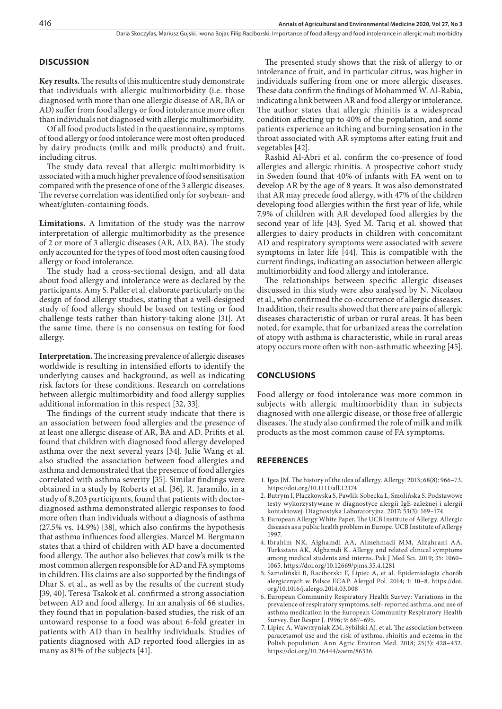# **DISCUSSION**

**Key results.** The results of this multicentre study demonstrate that individuals with allergic multimorbidity (i.e. those diagnosed with more than one allergic disease of AR, BA or AD) suffer from food allergy or food intolerance more often than individuals not diagnosed with allergic multimorbidity.

Of all food products listed in the questionnaire, symptoms of food allergy or food intolerance were most often produced by dairy products (milk and milk products) and fruit, including citrus.

The study data reveal that allergic multimorbidity is associated with a much higher prevalence of food sensitisation compared with the presence of one of the 3 allergic diseases. The reverse correlation was identified only for soybean- and wheat/gluten-containing foods.

**Limitations.** A limitation of the study was the narrow interpretation of allergic multimorbidity as the presence of 2 or more of 3 allergic diseases (AR, AD, BA). The study only accounted for the types of food most often causing food allergy or food intolerance.

The study had a cross-sectional design, and all data about food allergy and intolerance were as declared by the participants. Amy S. Paller et al. elaborate particularly on the design of food allergy studies, stating that a well-designed study of food allergy should be based on testing or food challenge tests rather than history-taking alone [31]. At the same time, there is no consensus on testing for food allergy.

**Interpretation.** The increasing prevalence of allergic diseases worldwide is resulting in intensified efforts to identify the underlying causes and background, as well as indicating risk factors for these conditions. Research on correlations between allergic multimorbidity and food allergy supplies additional information in this respect [32, 33].

The findings of the current study indicate that there is an association between food allergies and the presence of at least one allergic disease of AR, BA and AD. Prifits et al. found that children with diagnosed food allergy developed asthma over the next several years [34]. Julie Wang et al. also studied the association between food allergies and asthma and demonstrated that the presence of food allergies correlated with asthma severity [35]. Similar findings were obtained in a study by Roberts et al. [36]. R. Jaramilo, in a study of 8,203 participants, found that patients with doctordiagnosed asthma demonstrated allergic responses to food more often than individuals without a diagnosis of asthma (27.5% vs. 14.9%) [38], which also confirms the hypothesis that asthma influences food allergies. Marcel M. Bergmann states that a third of children with AD have a documented food allergy. The author also believes that cow's milk is the most common allergen responsible for AD and FA symptoms in children. His claims are also supported by the findings of Dhar S. et al., as well as by the results of the current study [39, 40]. Teresa Tsakok et al. confirmed a strong association between AD and food allergy. In an analysis of 66 studies, they found that in population-based studies, the risk of an untoward response to a food was about 6-fold greater in patients with AD than in healthy individuals. Studies of patients diagnosed with AD reported food allergies in as many as 81% of the subjects [41].

The presented study shows that the risk of allergy to or intolerance of fruit, and in particular citrus, was higher in individuals suffering from one or more allergic diseases. These data confirm the findings of Mohammed W. Al-Rabia, indicating a link between AR and food allergy or intolerance. The author states that allergic rhinitis is a widespread condition affecting up to 40% of the population, and some patients experience an itching and burning sensation in the throat associated with AR symptoms after eating fruit and vegetables [42].

Rashid Al-Abri et al. confirm the co-presence of food allergies and allergic rhinitis. A prospective cohort study in Sweden found that 40% of infants with FA went on to develop AR by the age of 8 years. It was also demonstrated that AR may precede food allergy, with 47% of the children developing food allergies within the first year of life, while 7.9% of children with AR developed food allergies by the second year of life [43]. Syed M. Tariq et al. showed that allergies to dairy products in children with concomitant AD and respiratory symptoms were associated with severe symptoms in later life [44]. This is compatible with the current findings, indicating an association between allergic multimorbidity and food allergy and intolerance.

The relationships between specific allergic diseases discussed in this study were also analysed by N. Nicolaou et al., who confirmed the co-occurrence of allergic diseases. In addition, their results showed that there are pairs of allergic diseases characteristic of urban or rural areas. It has been noted, for example, that for urbanized areas the correlation of atopy with asthma is characteristic, while in rural areas atopy occurs more often with non-asthmatic wheezing [45].

#### **CONCLUSIONS**

Food allergy or food intolerance was more common in subjects with allergic multimorbidity than in subjects diagnosed with one allergic disease, or those free of allergic diseases. The study also confirmed the role of milk and milk products as the most common cause of FA symptoms.

# **REFERENCES**

- 1. Igea JM. The history of the idea of allergy. Allergy. 2013; 68(8): 966–73. https://doi.org/10.1111/all.12174
- 2. Butrym I, Płaczkowska S, Pawlik-Sobecka L, Smolińska S. Podstawowe testy wykorzystywane w diagnostyce alergii IgE-zależnej i alergii kontaktowej. Diagnostyka Laboratoryjna. 2017; 53(3): 169–174.
- 3. European Allergy White Paper, The UCB Institute of Allergy. Allergic diseases as a public health problem in Europe. UCB Institute of Allergy 1997.
- 4. Ibrahim NK, Alghamdi AA, Almehmadi MM, Alzahrani AA, Turkistani AK, Alghamdi K. Allergy and related clinical symptoms among medical students and interns. Pak J Med Sci. 2019; 35: 1060– 1065. https://doi.org/10.12669/pjms.35.4.1281
- 5. Samoliński B, Raciborski F, Lipiec A, et al. Epidemiologia chorób alergicznych w Polsce ECAP. Alergol Pol. 2014; 1: 10–8. https://doi. org/10.1016/j.alergo.2014.03.008
- 6. European Community Respiratory Health Survey: Variations in the prevalence of respiratory symptoms, self- reported asthma, and use of asthma medication in the European Community Respiratory Health Survey. Eur Respir J. 1996; 9: 687–695.
- 7. Lipiec A, Wawrzyniak ZM, Sybilski AJ, et al. The association between paracetamol use and the risk of asthma, rhinitis and eczema in the Polish population. Ann Agric Environ Med. 2018; 25(3): 428–432. https://doi.org/10.26444/aaem/86336